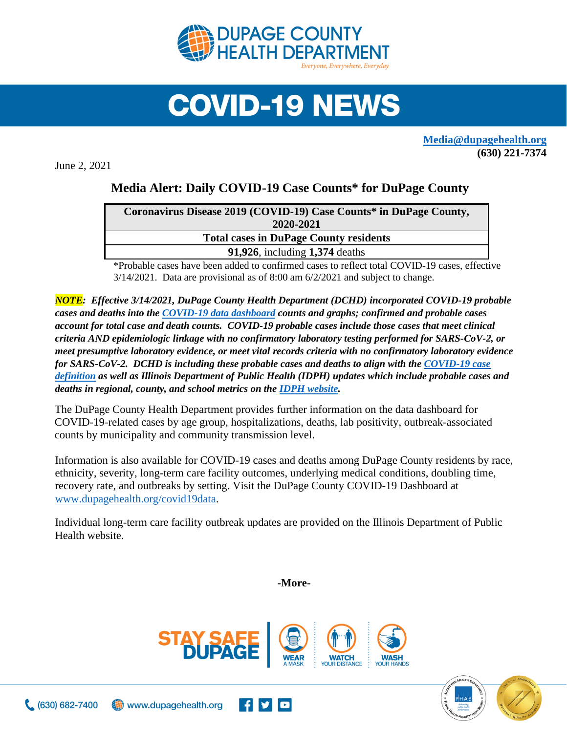

## **COVID-19 NEWS**

**[Media@dupagehealth.org](mailto:Media@dupagehealth.org) (630) 221-7374**

June 2, 2021

## **Media Alert: Daily COVID-19 Case Counts\* for DuPage County**

| Coronavirus Disease 2019 (COVID-19) Case Counts* in DuPage County, |  |
|--------------------------------------------------------------------|--|
| 2020-2021                                                          |  |
| <b>Total cases in DuPage County residents</b>                      |  |
| <b>91,926, including 1,374 deaths</b>                              |  |
|                                                                    |  |

\*Probable cases have been added to confirmed cases to reflect total COVID-19 cases, effective 3/14/2021. Data are provisional as of 8:00 am 6/2/2021 and subject to change.

*NOTE: Effective 3/14/2021, DuPage County Health Department (DCHD) incorporated COVID-19 probable cases and deaths into the [COVID-19 data dashboard](http://www.dupagehealth.org/covid19data) counts and graphs; confirmed and probable cases account for total case and death counts. COVID-19 probable cases include those cases that meet clinical criteria AND epidemiologic linkage with no confirmatory laboratory testing performed for SARS-CoV-2, or meet presumptive laboratory evidence, or meet vital records criteria with no confirmatory laboratory evidence for SARS-CoV-2. DCHD is including these probable cases and deaths to align with the [COVID-19 case](https://wwwn.cdc.gov/nndss/conditions/coronavirus-disease-2019-covid-19/case-definition/2020/08/05/)  [definition](https://wwwn.cdc.gov/nndss/conditions/coronavirus-disease-2019-covid-19/case-definition/2020/08/05/) as well as Illinois Department of Public Health (IDPH) updates which include probable cases and deaths in regional, county, and school metrics on th[e IDPH website.](http://dph.illinois.gov/covid19/covid19-statistics)*

The DuPage County Health Department provides further information on the data dashboard for COVID-19-related cases by age group, hospitalizations, deaths, lab positivity, outbreak-associated counts by municipality and community transmission level.

Information is also available for COVID-19 cases and deaths among DuPage County residents by race, ethnicity, severity, long-term care facility outcomes, underlying medical conditions, doubling time, recovery rate, and outbreaks by setting. Visit the DuPage County COVID-19 Dashboard at [www.dupagehealth.org/covid19data.](http://www.dupagehealth.org/covid19data)

Individual long-term care facility outbreak updates are provided on the Illinois Department of Public Health website.

**-More-**